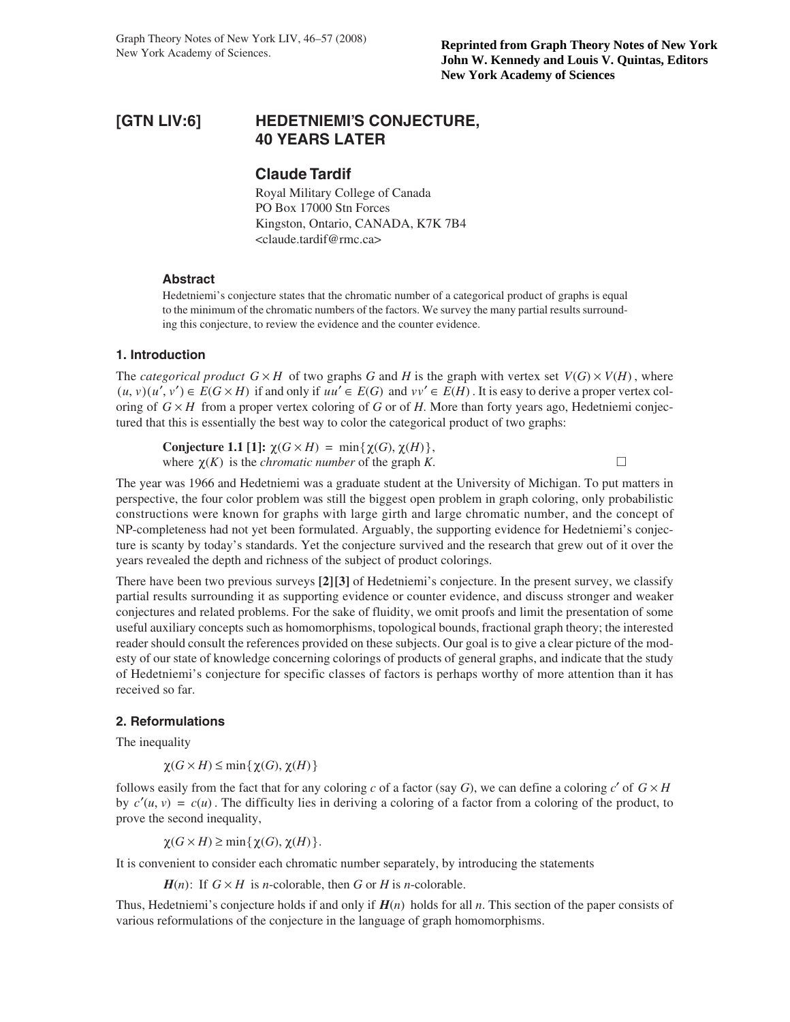# **[GTN LIV:6] HEDETNIEMI'S CONJECTURE, 40 YEARS LATER**

# **Claude Tardif**

Royal Military College of Canada PO Box 17000 Stn Forces Kingston, Ontario, CANADA, K7K 7B4 <claude.tardif@rmc.ca>

## **Abstract**

Hedetniemi's conjecture states that the chromatic number of a categorical product of graphs is equal to the minimum of the chromatic numbers of the factors. We survey the many partial results surrounding this conjecture, to review the evidence and the counter evidence.

## **1. Introduction**

The *categorical product*  $G \times H$  of two graphs G and H is the graph with vertex set  $V(G) \times V(H)$ , where  $(u, v)(u', v') \in E(G \times H)$  if and only if  $uu' \in E(G)$  and  $vv' \in E(H)$ . It is easy to derive a proper vertex coloring of  $G \times H$  from a proper vertex coloring of *G* or of *H*. More than forty years ago, Hedetniemi conjectured that this is essentially the best way to color the categorical product of two graphs:

**Conjecture 1.1** [1]:  $\chi(G \times H) = \min{\{\chi(G), \chi(H)\}},$ where  $\chi(K)$  is the *chromatic number* of the graph *K*.

The year was 1966 and Hedetniemi was a graduate student at the University of Michigan. To put matters in perspective, the four color problem was still the biggest open problem in graph coloring, only probabilistic constructions were known for graphs with large girth and large chromatic number, and the concept of NP-completeness had not yet been formulated. Arguably, the supporting evidence for Hedetniemi's conjecture is scanty by today's standards. Yet the conjecture survived and the research that grew out of it over the years revealed the depth and richness of the subject of product colorings.

There have been two previous surveys **[2][3]** of Hedetniemi's conjecture. In the present survey, we classify partial results surrounding it as supporting evidence or counter evidence, and discuss stronger and weaker conjectures and related problems. For the sake of fluidity, we omit proofs and limit the presentation of some useful auxiliary concepts such as homomorphisms, topological bounds, fractional graph theory; the interested reader should consult the references provided on these subjects. Our goal is to give a clear picture of the modesty of our state of knowledge concerning colorings of products of general graphs, and indicate that the study of Hedetniemi's conjecture for specific classes of factors is perhaps worthy of more attention than it has received so far.

## **2. Reformulations**

The inequality

 $\chi(G \times H) \le \min{\{\chi(G), \chi(H)\}}$ 

follows easily from the fact that for any coloring *c* of a factor (say *G*), we can define a coloring *c'* of  $G \times H$ by  $c'(u, v) = c(u)$ . The difficulty lies in deriving a coloring of a factor from a coloring of the product, to prove the second inequality,

 $\chi(G \times H) \ge \min{\{\chi(G), \chi(H)\}}$ .

It is convenient to consider each chromatic number separately, by introducing the statements

 $H(n)$ : If  $G \times H$  is *n*-colorable, then *G* or *H* is *n*-colorable.

Thus, Hedetniemi's conjecture holds if and only if  $H(n)$  holds for all *n*. This section of the paper consists of various reformulations of the conjecture in the language of graph homomorphisms.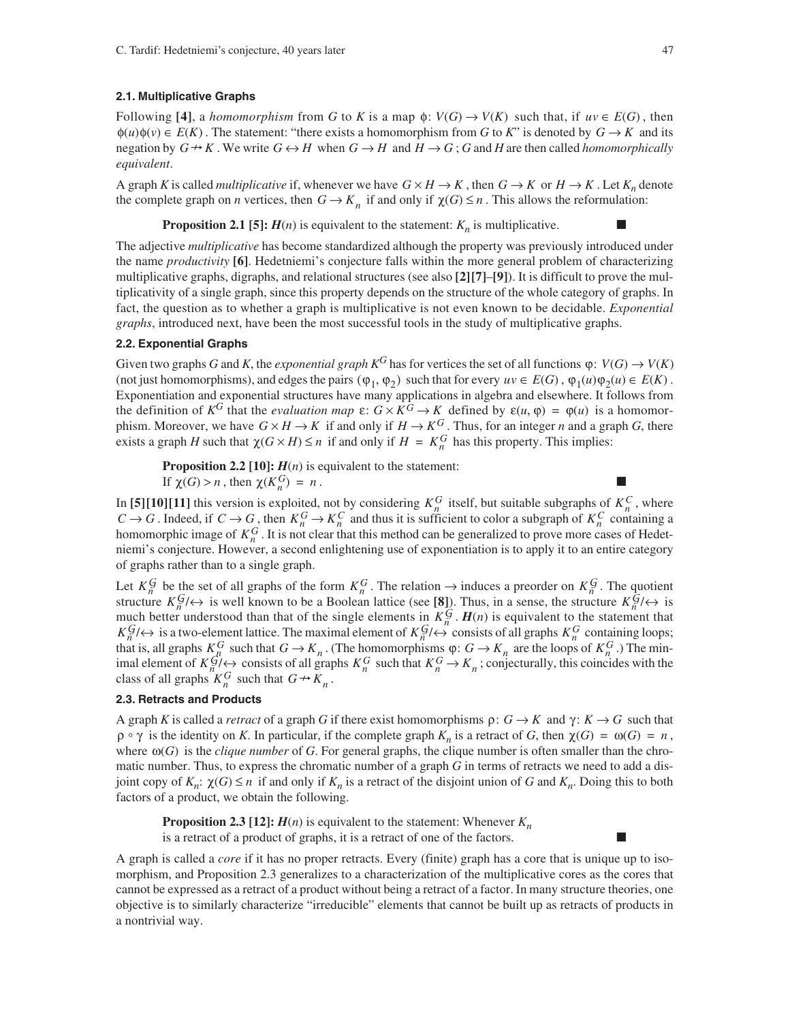### **2.1. Multiplicative Graphs**

Following [4], a *homomorphism* from *G* to *K* is a map  $\phi$ :  $V(G) \rightarrow V(K)$  such that, if  $uv \in E(G)$ , then  $\phi(u)\phi(v) \in E(K)$ . The statement: "there exists a homomorphism from *G* to *K*" is denoted by  $G \to K$  and its negation by  $G \to K$ . We write  $G \leftrightarrow H$  when  $G \to H$  and  $H \to G$ ;  $G$  and  $H$  are then called *homomorphically equivalent*.

A graph *K* is called *multiplicative* if, whenever we have  $G \times H \to K$ , then  $G \to K$  or  $H \to K$ . Let  $K_n$  denote the complete graph on *n* vertices, then  $G \to K_n$  if and only if  $\chi(G) \leq n$ . This allows the reformulation:

**Proposition 2.1 [5]:**  $H(n)$  is equivalent to the statement:  $K_n$  is multiplicative.

The adjective *multiplicative* has become standardized although the property was previously introduced under the name *productivity* **[6]**. Hedetniemi's conjecture falls within the more general problem of characterizing multiplicative graphs, digraphs, and relational structures (see also **[2][7]**–**[9]**). It is difficult to prove the multiplicativity of a single graph, since this property depends on the structure of the whole category of graphs. In fact, the question as to whether a graph is multiplicative is not even known to be decidable. *Exponential graphs*, introduced next, have been the most successful tools in the study of multiplicative graphs.

## **2.2. Exponential Graphs**

Given two graphs *G* and *K*, the *exponential graph*  $K^G$  has for vertices the set of all functions  $\varphi: V(G) \to V(K)$ (not just homomorphisms), and edges the pairs  $(\varphi_1, \varphi_2)$  such that for every  $uv \in E(G)$ ,  $\varphi_1(u)\varphi_2(u) \in E(K)$ . Exponentiation and exponential structures have many applications in algebra and elsewhere. It follows from the definition of  $K^G$  that the *evaluation map*  $\varepsilon$ :  $G \times K^G \to K$  defined by  $\varepsilon(u, \varphi) = \varphi(u)$  is a homomorphism. Moreover, we have  $G \times H \to K$  if and only if  $H \to K^G$ . Thus, for an integer *n* and a graph *G*, there exists a graph *H* such that  $\chi(G \times H) \le n$  if and only if  $H = K_n^G$  has this property. This implies:

**Proposition 2.2 [10]:**  $H(n)$  is equivalent to the statement:

If  $\chi(G) > n$ , then  $\chi(K_n^G) = n$ .

In [5][10][11] this version is exploited, not by considering  $K_n^G$  itself, but suitable subgraphs of  $K_n^G$ , where . Indeed, if  $C \to G$ , then  $K_n^G \to K_n^C$  and thus it is sufficient to color a subgraph of  $K_n^C$  containing a homomorphic image of  $K_n^G$ . It is not clear that this method can be generalized to prove more cases of Hedetniemi's conjecture. However, a second enlightening use of exponentiation is to apply it to an entire category of graphs rather than to a single graph.  $K_n^G$  itself, but suitable subgraphs of  $K_n^C$  $C \rightarrow G$ . Indeed, if  $C \rightarrow G$ , then  $K_n^G \rightarrow K_n^C$  and thus it is sufficient to color a subgraph of  $K_n^C$  $K_n^G$ 

Let  $K_n^G$  be the set of all graphs of the form  $K_n^G$ . The relation  $\to$  induces a preorder on  $K_n^G$ . The quotient structure  $K_n^{\mathcal{G}}/\leftrightarrow$  is well known to be a Boolean lattice (see [8]). Thus, in a sense, the structure  $K_n^{\mathcal{G}}/\leftrightarrow$  is much better understood than that of the single elements in  $K_n^{\mathcal{G}}$ .  $H(n)$  is equivalent to the statement that is a two-element lattice. The maximal element of  $K_p^G/\leftrightarrow$  consists of all graphs  $K_p^G$  containing loops; that is, all graphs  $K_n^G$  such that  $G \to K_n$ . (The homomorphisms  $\varphi: G \to K_n$  are the loops of  $K_n^G$ .) The minimal element of  $K_p^G/\leftrightarrow$  consists of all graphs  $K_p^G$  such that  $K_p^G \to K_p$ ; conjecturally, this coincides with the class of all graphs  $K_n^G$  such that  $G \rightarrow K_n$ .  $K_n^G$ / $\leftrightarrow$  *is a two-element lattice. The maximal element of*  $K_n^G$ / $\leftrightarrow$  consists of all graphs  $K_n^G$  $K_n^G$  such that  $G \to K_n$ . (The homomorphisms  $\varphi: G \to K_n$  are the loops of  $K_n^G$  $K_n^G$ / $\leftrightarrow$  consists of all graphs  $K_n^G$  such that  $K_n^G \rightarrow K_n$ 

### **2.3. Retracts and Products**

A graph *K* is called a *retract* of a graph *G* if there exist homomorphisms  $\rho: G \to K$  and  $\gamma: K \to G$  such that  $\rho \circ \gamma$  is the identity on *K*. In particular, if the complete graph  $K_n$  is a retract of *G*, then  $\chi(G) = \omega(G) = n$ , where  $\omega(G)$  is the *clique number* of *G*. For general graphs, the clique number is often smaller than the chromatic number. Thus, to express the chromatic number of a graph *G* in terms of retracts we need to add a disjoint copy of  $K_n$ :  $\chi(G) \le n$  if and only if  $K_n$  is a retract of the disjoint union of *G* and  $K_n$ . Doing this to both factors of a product, we obtain the following.

**Proposition 2.3 [12]:**  $H(n)$  is equivalent to the statement: Whenever  $K_n$ is a retract of a product of graphs, it is a retract of one of the factors.

A graph is called a *core* if it has no proper retracts. Every (finite) graph has a core that is unique up to isomorphism, and Proposition 2.3 generalizes to a characterization of the multiplicative cores as the cores that cannot be expressed as a retract of a product without being a retract of a factor. In many structure theories, one objective is to similarly characterize "irreducible" elements that cannot be built up as retracts of products in a nontrivial way.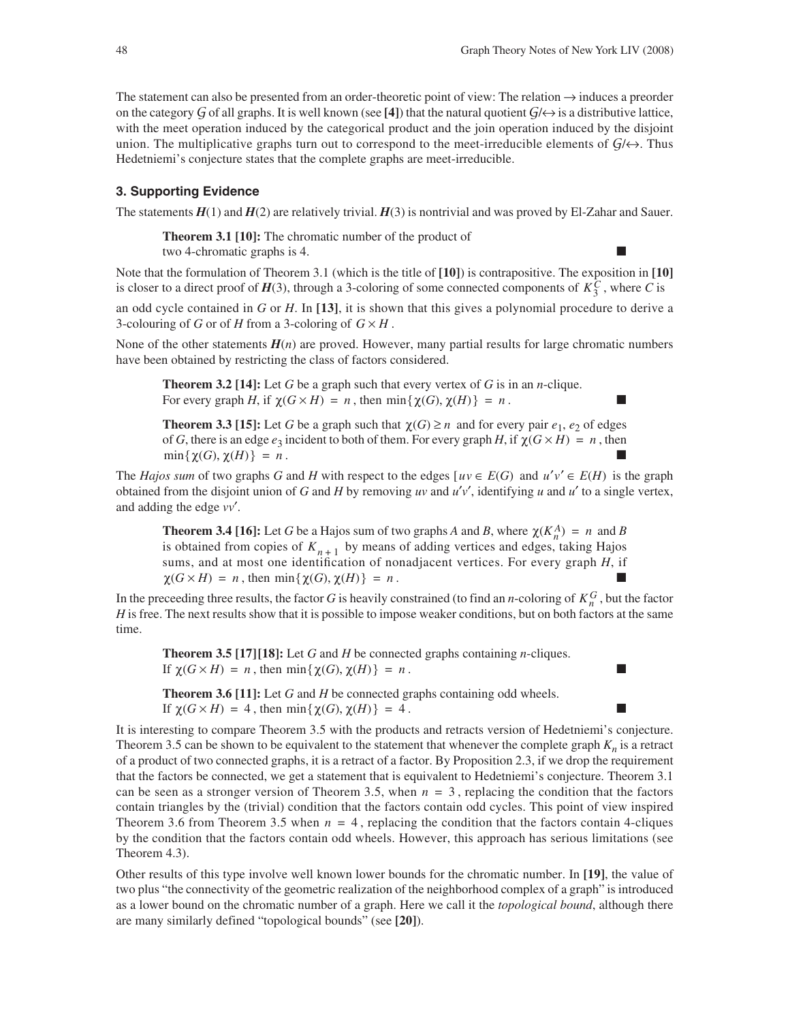The statement can also be presented from an order-theoretic point of view: The relation → induces a preorder on the category G of all graphs. It is well known (see [4]) that the natural quotient  $G/\leftrightarrow$  is a distributive lattice, with the meet operation induced by the categorical product and the join operation induced by the disjoint union. The multiplicative graphs turn out to correspond to the meet-irreducible elements of  $G/\leftrightarrow$ . Thus Hedetniemi's conjecture states that the complete graphs are meet-irreducible.

# **3. Supporting Evidence**

The statements  $H(1)$  and  $H(2)$  are relatively trivial.  $H(3)$  is nontrivial and was proved by El-Zahar and Sauer.

**Theorem 3.1 [10]:** The chromatic number of the product of

two 4-chromatic graphs is 4.

Note that the formulation of Theorem 3.1 (which is the title of **[10]**) is contrapositive. The exposition in **[10]** is closer to a direct proof of  $H(3)$ , through a 3-coloring of some connected components of  $K_3^C$ , where *C* is

an odd cycle contained in *G* or *H*. In **[13]**, it is shown that this gives a polynomial procedure to derive a 3-colouring of *G* or of *H* from a 3-coloring of  $G \times H$ .

None of the other statements  $H(n)$  are proved. However, many partial results for large chromatic numbers have been obtained by restricting the class of factors considered.

**Theorem 3.2 [14]:** Let *G* be a graph such that every vertex of *G* is in an *n*-clique. For every graph *H*, if  $\chi(G \times H) = n$ , then  $\min{\{\chi(G), \chi(H)\}} = n$ .

**Theorem 3.3 [15]:** Let *G* be a graph such that  $\chi(G) \geq n$  and for every pair  $e_1, e_2$  of edges of *G*, there is an edge  $e_3$  incident to both of them. For every graph *H*, if  $\chi(G \times H) = n$ , then .  $\min\{\gamma(G), \gamma(H)\} = n$ .

The *Hajos sum* of two graphs *G* and *H* with respect to the edges  $[uv \in E(G)$  and  $u'v' \in E(H)$  is the graph obtained from the disjoint union of *G* and *H* by removing *uv* and  $u'v'$ , identifying *u* and  $u'$  to a single vertex, and adding the edge *vv*′.

**Theorem 3.4 [16]:** Let *G* be a Hajos sum of two graphs *A* and *B*, where  $\chi(K_n^A) = n$  and *B* is obtained from copies of  $K_{n+1}$  by means of adding vertices and edges, taking Hajos sums, and at most one identification of nonadjacent vertices. For every graph *H*, if  $\chi(G \times H) = n$ , then  $\min{\{\chi(G), \chi(H)\}} = n$ .

In the preceeding three results, the factor *G* is heavily constrained (to find an *n*-coloring of  $K_n^G$ , but the factor *H* is free. The next results show that it is possible to impose weaker conditions, but on both factors at the same time.

**Theorem 3.5 [17][18]:** Let *G* and *H* be connected graphs containing *n*-cliques. If  $\chi(G \times H) = n$ , then  $\min{\{\chi(G), \chi(H)\}} = n$ .

**Theorem 3.6 [11]:** Let *G* and *H* be connected graphs containing odd wheels. If  $\chi(G \times H) = 4$ , then  $\min{\{\chi(G), \chi(H)\}} = 4$ .

It is interesting to compare Theorem 3.5 with the products and retracts version of Hedetniemi's conjecture. Theorem 3.5 can be shown to be equivalent to the statement that whenever the complete graph  $K_n$  is a retract of a product of two connected graphs, it is a retract of a factor. By Proposition 2.3, if we drop the requirement that the factors be connected, we get a statement that is equivalent to Hedetniemi's conjecture. Theorem 3.1 can be seen as a stronger version of Theorem 3.5, when  $n = 3$ , replacing the condition that the factors contain triangles by the (trivial) condition that the factors contain odd cycles. This point of view inspired Theorem 3.6 from Theorem 3.5 when  $n = 4$ , replacing the condition that the factors contain 4-cliques by the condition that the factors contain odd wheels. However, this approach has serious limitations (see Theorem 4.3).

Other results of this type involve well known lower bounds for the chromatic number. In **[19]**, the value of two plus "the connectivity of the geometric realization of the neighborhood complex of a graph" is introduced as a lower bound on the chromatic number of a graph. Here we call it the *topological bound*, although there are many similarly defined "topological bounds" (see **[20]**).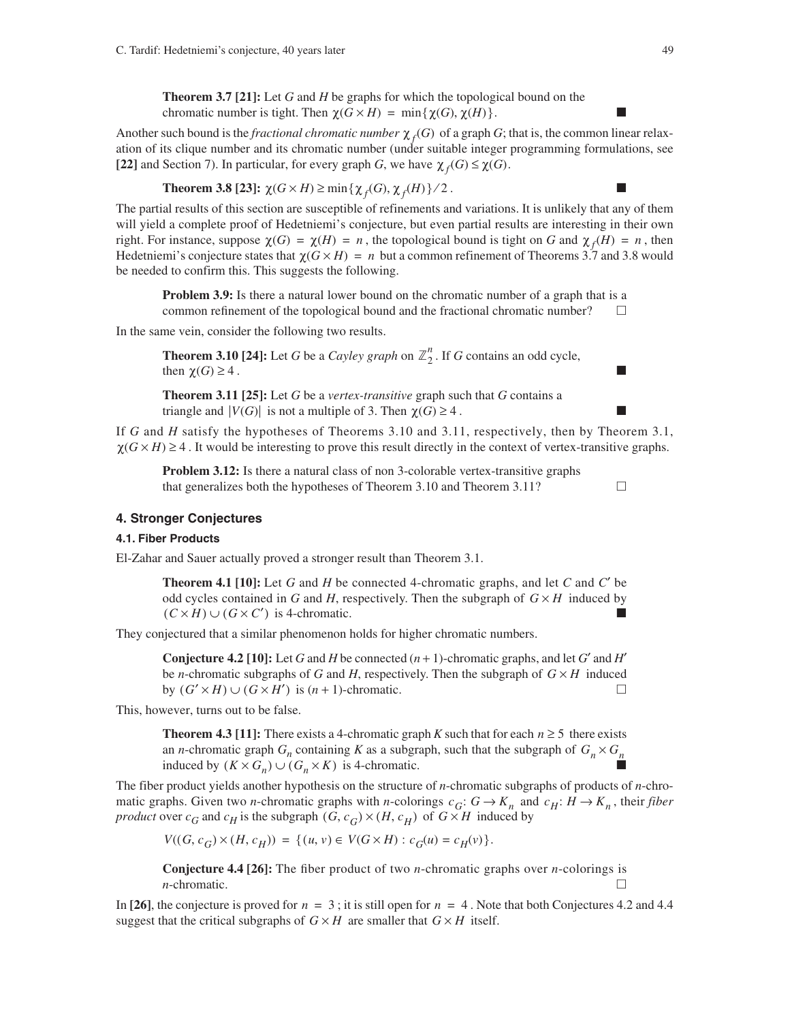**Theorem 3.7 [21]:** Let *G* and *H* be graphs for which the topological bound on the chromatic number is tight. Then  $\chi(G \times H) = \min{\{\chi(G), \chi(H)\}}$ .

Another such bound is the *fractional chromatic number*  $\chi_f(G)$  of a graph *G*; that is, the common linear relaxation of its clique number and its chromatic number (under suitable integer programming formulations, see [22] and Section 7). In particular, for every graph *G*, we have  $\chi_f(G) \leq \chi(G)$ .

**Theorem 3.8 [23]:**  $\chi(G \times H) \ge \min{\{\chi_f(G), \chi_f(H)\}}/2$ .

The partial results of this section are susceptible of refinements and variations. It is unlikely that any of them will yield a complete proof of Hedetniemi's conjecture, but even partial results are interesting in their own right. For instance, suppose  $\chi(G) = \chi(H) = n$ , the topological bound is tight on *G* and  $\chi_f(H) = n$ , then Hedetniemi's conjecture states that  $\chi(G \times H) = n$  but a common refinement of Theorems 3.7 and 3.8 would be needed to confirm this. This suggests the following.

**Problem 3.9:** Is there a natural lower bound on the chromatic number of a graph that is a common refinement of the topological bound and the fractional chromatic number?  $\Box$ 

In the same vein, consider the following two results.

**Theorem 3.10 [24]:** Let *G* be a *Cayley graph* on  $\mathbb{Z}_2^n$ . If *G* contains an odd cycle, then  $\chi(G) \geq 4$ .

**Theorem 3.11 [25]:** Let *G* be a *vertex-transitive* graph such that *G* contains a triangle and  $|V(G)|$  is not a multiple of 3. Then  $\chi(G) \geq 4$ .

If *G* and *H* satisfy the hypotheses of Theorems 3.10 and 3.11, respectively, then by Theorem 3.1,  $\chi(G \times H) \geq 4$ . It would be interesting to prove this result directly in the context of vertex-transitive graphs.

**Problem 3.12:** Is there a natural class of non 3-colorable vertex-transitive graphs that generalizes both the hypotheses of Theorem 3.10 and Theorem 3.11?  $\Box$ 

## **4. Stronger Conjectures**

## **4.1. Fiber Products**

El-Zahar and Sauer actually proved a stronger result than Theorem 3.1.

**Theorem 4.1 [10]:** Let *G* and *H* be connected 4-chromatic graphs, and let *C* and *C*′ be odd cycles contained in *G* and *H*, respectively. Then the subgraph of  $G \times H$  induced by  $(C \times H) \cup (G \times C')$  is 4-chromatic.

They conjectured that a similar phenomenon holds for higher chromatic numbers.

**Conjecture 4.2 [10]:** Let *G* and *H* be connected  $(n + 1)$ -chromatic graphs, and let *G'* and *H'* be *n*-chromatic subgraphs of *G* and *H*, respectively. Then the subgraph of  $G \times H$  induced by  $(G' \times H) \cup (G \times H')$  is  $(n + 1)$ -chromatic.  $\Box$ 

This, however, turns out to be false.

**Theorem 4.3 [11]:** There exists a 4-chromatic graph *K* such that for each  $n \ge 5$  there exists an *n*-chromatic graph  $G_n$  containing *K* as a subgraph, such that the subgraph of  $G_n \times G_n$ induced by  $(K \times G_n) \cup (G_n \times K)$  is 4-chromatic.

The fiber product yields another hypothesis on the structure of *n*-chromatic subgraphs of products of *n*-chromatic graphs. Given two *n*-chromatic graphs with *n*-colorings  $c_G: G \to K_n$  and  $c_H: H \to K_n$ , their fiber *product* over  $c_G$  and  $c_H$  is the subgraph  $(G, c_G) \times (H, c_H)$  of  $G \times H$  induced by

$$
V((G,c_G)\times (H,c_H))\,=\,\{(u,v)\in\,V(G\times H): c_G(u)=c_H(v)\}.
$$

**Conjecture 4.4 [26]:** The fiber product of two *n*-chromatic graphs over *n*-colorings is *n*-chromatic.  $\Box$ 

In [26], the conjecture is proved for  $n = 3$ ; it is still open for  $n = 4$ . Note that both Conjectures 4.2 and 4.4 suggest that the critical subgraphs of  $G \times H$  are smaller that  $G \times H$  itself.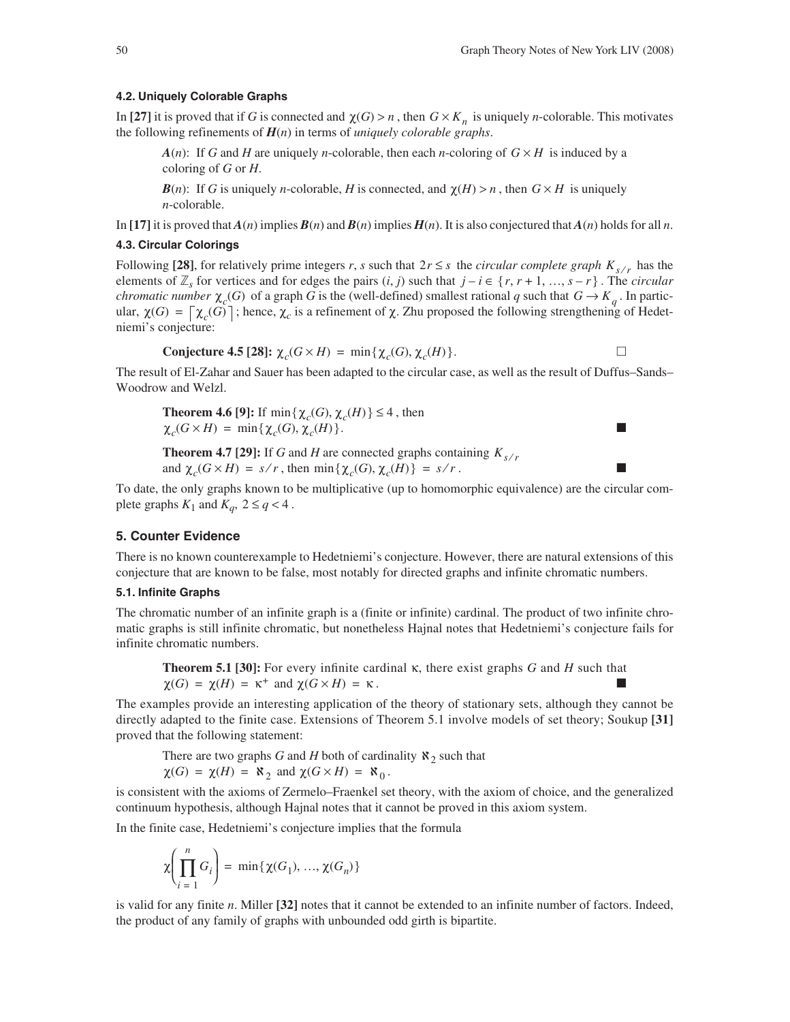#### **4.2. Uniquely Colorable Graphs**

In [27] it is proved that if *G* is connected and  $\chi(G) > n$ , then  $G \times K_n$  is uniquely *n*-colorable. This motivates the following refinements of *H*(*n*) in terms of *uniquely colorable graphs*.

*A*(*n*): If *G* and *H* are uniquely *n*-colorable, then each *n*-coloring of  $G \times H$  is induced by a coloring of *G* or *H*.

*B*(*n*): If *G* is uniquely *n*-colorable, *H* is connected, and  $\chi(H) > n$ , then  $G \times H$  is uniquely *n*-colorable.

In [17] it is proved that  $A(n)$  implies  $B(n)$  and  $B(n)$  implies  $H(n)$ . It is also conjectured that  $A(n)$  holds for all *n*.

### **4.3. Circular Colorings**

Following [28], for relatively prime integers *r*, *s* such that  $2r \leq s$  the *circular complete graph*  $K_{s/r}$  has the elements of  $\mathbb{Z}_s$  for vertices and for edges the pairs  $(i, j)$  such that  $j - i \in \{r, r + 1, ..., s - r\}$ . The *circular chromatic number*  $\chi_c(G)$  of a graph *G* is the (well-defined) smallest rational *q* such that  $G \to K_q$ . In particular,  $\chi(G) = \left[\chi_c(G)\right]$ ; hence,  $\chi_c$  is a refinement of  $\chi$ . Zhu proposed the following strengthening of Hedetniemi's conjecture:

**Conjecture 4.5 [28]:** 
$$
\chi_c(G \times H) = \min{\{\chi_c(G), \chi_c(H)\}}.
$$

The result of El-Zahar and Sauer has been adapted to the circular case, as well as the result of Duffus–Sands– Woodrow and Welzl.

**Theorem 4.6 [9]:** If  $\min{\{\chi_c(G), \chi_c(H)\}} \leq 4$ , then  $\chi_c(G \times H) = \min\{\chi_c(G), \chi_c(H)\}.$ 

**Theorem 4.7 [29]:** If *G* and *H* are connected graphs containing  $K_{s/r}$ and  $\chi_c(G \times H) = s/r$ , then  $\min{\{\chi_c(G), \chi_c(H)\}} = s/r$ .

To date, the only graphs known to be multiplicative (up to homomorphic equivalence) are the circular complete graphs  $K_1$  and  $K_q$ ,  $2 \le q < 4$ .

## **5. Counter Evidence**

There is no known counterexample to Hedetniemi's conjecture. However, there are natural extensions of this conjecture that are known to be false, most notably for directed graphs and infinite chromatic numbers.

### **5.1. Infinite Graphs**

The chromatic number of an infinite graph is a (finite or infinite) cardinal. The product of two infinite chromatic graphs is still infinite chromatic, but nonetheless Hajnal notes that Hedetniemi's conjecture fails for infinite chromatic numbers.

**Theorem 5.1 [30]:** For every infinite cardinal κ, there exist graphs *G* and *H* such that  $\chi(G) = \chi(H) = \kappa^+$  and  $\chi(G \times H) = \kappa$ .

The examples provide an interesting application of the theory of stationary sets, although they cannot be directly adapted to the finite case. Extensions of Theorem 5.1 involve models of set theory; Soukup **[31]** proved that the following statement:

There are two graphs *G* and *H* both of cardinality  $\aleph_2$  such that  $\chi(G) = \chi(H) = \aleph_2$  and  $\chi(G \times H) = \aleph_0$ .

is consistent with the axioms of Zermelo–Fraenkel set theory, with the axiom of choice, and the generalized continuum hypothesis, although Hajnal notes that it cannot be proved in this axiom system.

In the finite case, Hedetniemi's conjecture implies that the formula

$$
\chi\left(\prod_{i=1}^{n} G_i\right) = \min\{\chi(G_1), ..., \chi(G_n)\}\
$$

is valid for any finite *n*. Miller **[32]** notes that it cannot be extended to an infinite number of factors. Indeed, the product of any family of graphs with unbounded odd girth is bipartite.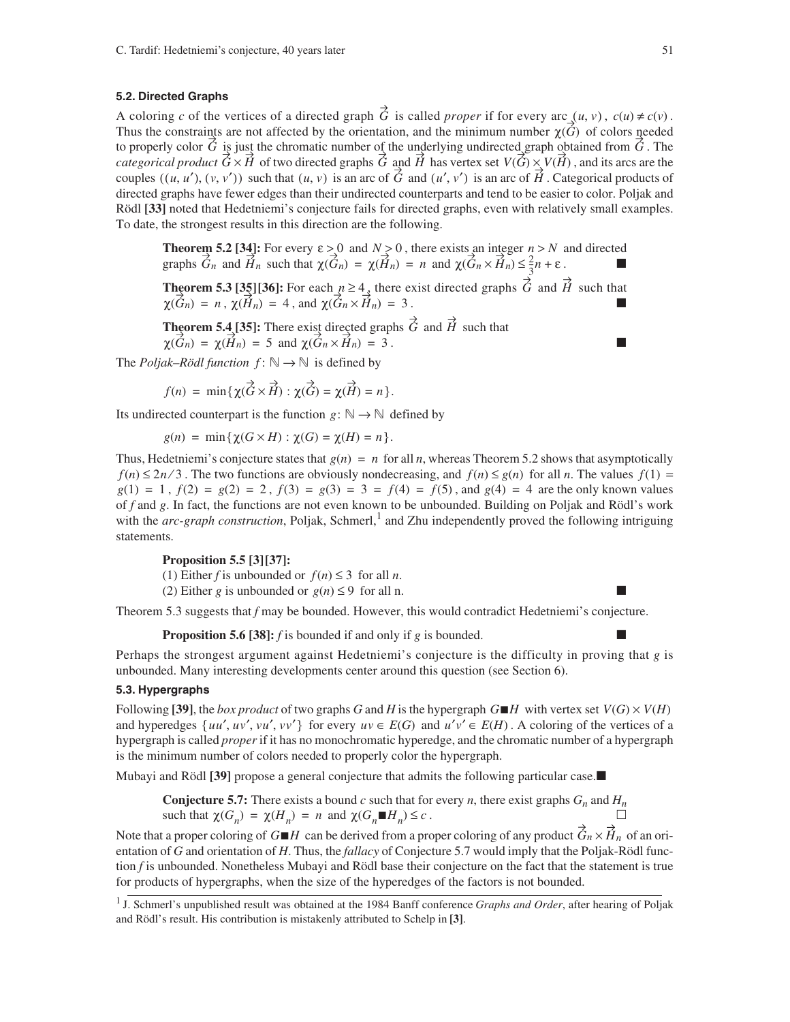#### **5.2. Directed Graphs**

A coloring *c* of the vertices of a directed graph G is called *proper* if for every arc  $(u, v)$ ,  $c(u) \neq c(v)$ . Thus the constraints are not affected by the orientation, and the minimum number  $\chi(G)$  of colors needed to properly color  $\hat{G}$  is just the chromatic number of the underlying undirected graph obtained from  $\hat{G}$ . The *categorical product*  $G \times H$  of two directed graphs G and H has vertex set  $V(G) \times V(H)$ , and its arcs are the couples  $((u, u'), (v, v'))$  such that  $(u, v)$  is an arc of  $\acute{G}$  and  $(u', v')$  is an arc of  $\acute{H}$ . Categorical products of directed graphs have fewer edges than their undirected counterparts and tend to be easier to color. Poljak and Rödl **[33]** noted that Hedetniemi's conjecture fails for directed graphs, even with relatively small examples. To date, the strongest results in this direction are the following.

**Theorem 5.2 [34]:** For every  $\varepsilon > 0$  and  $N > 0$ , there exists an integer  $n > N$  and directed graphs  $G_n$  and  $H_n$  such that  $\chi(G_n) = \chi(H_n) = n$  and  $\chi(G_n \times H_n) \le \frac{2}{3}n + \varepsilon$ .  $\varepsilon > 0$  and  $N > 0$ , there exists an integer  $n > N$  $\vec{G}_n$  and  $\vec{H}_n$  such that  $\chi(\vec{G}_n) = \chi(\vec{H}_n) = n$  and  $\chi(\vec{G}_n \times \vec{H}_n) \leq \frac{2}{3}n + \varepsilon$ 

**Theorem 5.3 [35][36]:** For each  $n \geq 4$ , there exist directed graphs G and H such that ,  $\chi(\hat{H}_n) = 4$ , and  $\chi(\hat{G}_n \times \hat{H}_n) = 3$ .  $n \geq 4$ , there exist directed graphs  $\acute{G}$  and  $\acute{H}$  $\chi(\hat{G}_n) = n$ ,  $\chi(\hat{H}_n) = 4$ , and  $\chi(\hat{G}_n \times \hat{H}_n) = 3$ 

**Theorem 5.4 [35]:** There exist directed graphs  $\ddot{G}$  and  $\ddot{H}$  such that and  $\chi(G_n \times H_n) = 3$ .  $\ddot{G}$  and  $\dot{H}$  $\chi(G_n) = \chi(H_n) = 5$  and  $\chi(G_n \times H_n) = 3$ 

The *Poljak–Rödl function*  $f: \mathbb{N} \to \mathbb{N}$  is defined by

 $f(n) = \min \{ \gamma(\overrightarrow{G} \times \overrightarrow{H}) : \gamma(\overrightarrow{G}) = \gamma(\overrightarrow{H}) = n \}.$ 

Its undirected counterpart is the function  $g: \mathbb{N} \to \mathbb{N}$  defined by

$$
g(n) = \min\{\chi(G \times H) : \chi(G) = \chi(H) = n\}.
$$

Thus, Hedetniemi's conjecture states that  $g(n) = n$  for all *n*, whereas Theorem 5.2 shows that asymptotically  $f(n) \leq 2n/3$ . The two functions are obviously nondecreasing, and  $f(n) \leq g(n)$  for all *n*. The values  $f(1) =$  $g(1) = 1$ ,  $f(2) = g(2) = 2$ ,  $f(3) = g(3) = 3 = f(4) = f(5)$ , and  $g(4) = 4$  are the only known values of *f* and *g*. In fact, the functions are not even known to be unbounded. Building on Poljak and Rödl's work with the *arc-graph construction*, Poljak, Schmerl,<sup>1</sup> and Zhu independently proved the following intriguing statements.

## **Proposition 5.5 [3][37]:**

(1) Either *f* is unbounded or  $f(n) \leq 3$  for all *n*.

(2) Either *g* is unbounded or  $g(n) \leq 9$  for all n.

Theorem 5.3 suggests that *f* may be bounded. However, this would contradict Hedetniemi's conjecture.

**Proposition 5.6 [38]:** *f* is bounded if and only if *g* is bounded.

Perhaps the strongest argument against Hedetniemi's conjecture is the difficulty in proving that *g* is unbounded. Many interesting developments center around this question (see Section 6).

## **5.3. Hypergraphs**

Following [39], the *box product* of two graphs *G* and *H* is the hypergraph  $G \blacksquare H$  with vertex set  $V(G) \times V(H)$ and hyperedges  $\{uu', uv', vu', vv'\}$  for every  $uv \in E(G)$  and  $u'v' \in E(H)$ . A coloring of the vertices of a hypergraph is called *proper* if it has no monochromatic hyperedge, and the chromatic number of a hypergraph is the minimum number of colors needed to properly color the hypergraph.

Mubayi and Rödl **[39]** propose a general conjecture that admits the following particular case.

**Conjecture 5.7:** There exists a bound *c* such that for every *n*, there exist graphs  $G_n$  and  $H_n$ such that  $\chi(G_n) = \chi(H_n) = n$  and  $\chi(G_n \blacksquare H_n) \leq c$ .

Note that a proper coloring of  $G \blacksquare H$  can be derived from a proper coloring of any product  $\hat{G}_n \times \hat{H}_n$  of an orientation of *G* and orientation of *H*. Thus, the *fallacy* of Conjecture 5.7 would imply that the Poljak-Rödl function *f* is unbounded. Nonetheless Mubayi and Rödl base their conjecture on the fact that the statement is true for products of hypergraphs, when the size of the hyperedges of the factors is not bounded.

<sup>1</sup> J. Schmerl's unpublished result was obtained at the 1984 Banff conference *Graphs and Order*, after hearing of Poljak and Rödl's result. His contribution is mistakenly attributed to Schelp in **[3]**.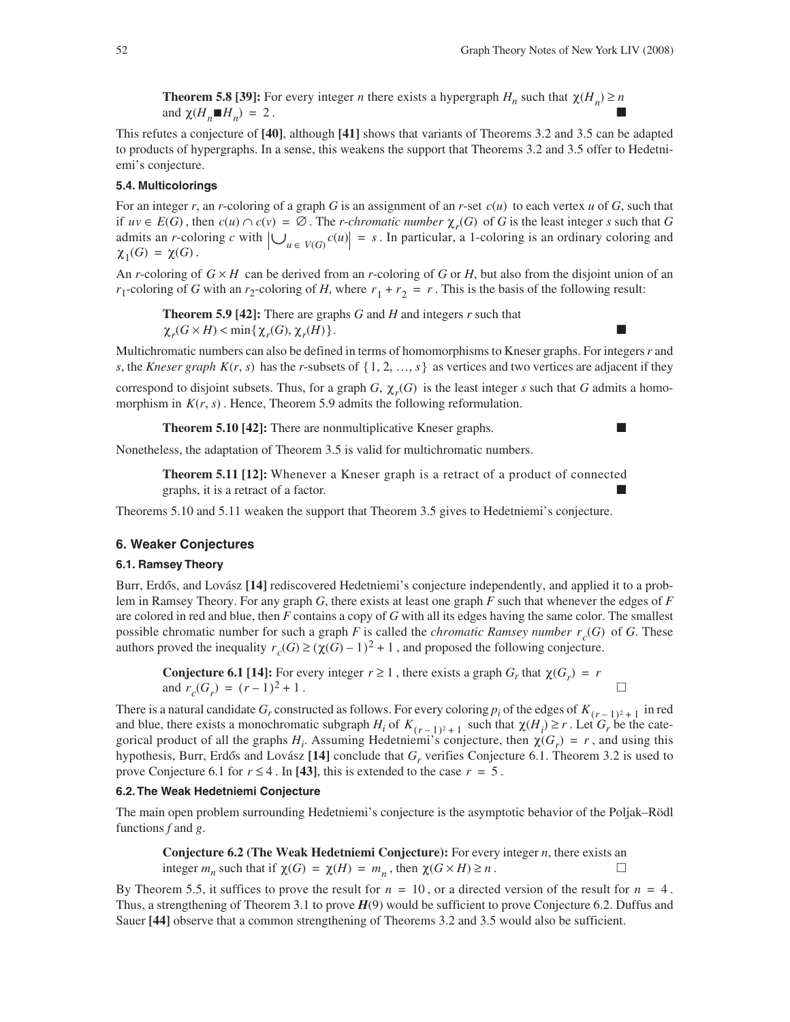L.

**Theorem 5.8 [39]:** For every integer *n* there exists a hypergraph  $H_n$  such that  $\chi(H_n) \ge n$ and  $\chi(H_n \blacksquare H_n) = 2$ .

This refutes a conjecture of **[40]**, although **[41]** shows that variants of Theorems 3.2 and 3.5 can be adapted to products of hypergraphs. In a sense, this weakens the support that Theorems 3.2 and 3.5 offer to Hedetniemi's conjecture.

## **5.4. Multicolorings**

For an integer  $r$ , an  $r$ -coloring of a graph  $G$  is an assignment of an  $r$ -set  $c(u)$  to each vertex  $u$  of  $G$ , such that if  $uv \in E(G)$ , then  $c(u) \cap c(v) = \emptyset$ . The *r*-*chromatic number*  $\chi_r(G)$  of G is the least integer *s* such that G admits an *r*-coloring *c* with  $\left|\bigcup_{u \in V(G)} c(u)\right| = s$ . In particular, a 1-coloring is an ordinary coloring and  $\chi_1(G) = \chi(G)$ .

An *r*-coloring of  $G \times H$  can be derived from an *r*-coloring of *G* or *H*, but also from the disjoint union of an *r*<sub>1</sub>-coloring of *G* with an *r*<sub>2</sub>-coloring of *H*, where  $r_1 + r_2 = r$ . This is the basis of the following result:

**Theorem 5.9 [42]:** There are graphs *G* and *H* and integers *r* such that  $\chi_r(G \times H)$  < min { $\chi_r(G), \chi_r(H)$  }.

Multichromatic numbers can also be defined in terms of homomorphisms to Kneser graphs. For integers *r* and *s*, the *Kneser graph*  $K(r, s)$  has the *r*-subsets of  $\{1, 2, ..., s\}$  as vertices and two vertices are adjacent if they

correspond to disjoint subsets. Thus, for a graph *G*,  $\chi_r(G)$  is the least integer *s* such that *G* admits a homomorphism in  $K(r, s)$ . Hence, Theorem 5.9 admits the following reformulation.

**Theorem 5.10 [42]:** There are nonmultiplicative Kneser graphs.

Nonetheless, the adaptation of Theorem 3.5 is valid for multichromatic numbers.

**Theorem 5.11 [12]:** Whenever a Kneser graph is a retract of a product of connected graphs, it is a retract of a factor.

Theorems 5.10 and 5.11 weaken the support that Theorem 3.5 gives to Hedetniemi's conjecture.

#### **6. Weaker Conjectures**

#### **6.1. Ramsey Theory**

Burr, Erdős, and Lovász [14] rediscovered Hedetniemi's conjecture independently, and applied it to a problem in Ramsey Theory. For any graph *G*, there exists at least one graph *F* such that whenever the edges of *F* are colored in red and blue, then *F* contains a copy of *G* with all its edges having the same color. The smallest possible chromatic number for such a graph *F* is called the *chromatic Ramsey number*  $r_c(G)$  of *G*. These authors proved the inequality  $r_c(G) \ge (\chi(G) - 1)^2 + 1$ , and proposed the following conjecture.

**Conjecture 6.1 [14]:** For every integer  $r \ge 1$ , there exists a graph  $G_r$  that  $\chi(G_r) = r$ and  $r_c(G_r) = (r-1)^2 + 1$ .

There is a natural candidate  $G_r$  constructed as follows. For every coloring  $p_i$  of the edges of  $K_{(r-1)^2+1}$  in red and blue, there exists a monochromatic subgraph  $H_i$  of  $K_{(r-1)^2+1}$  such that  $\chi(H_i) \ge r$ . Let  $G_r$  be the categorical product of all the graphs  $H_i$ . Assuming Hedetniemi's conjecture, then  $\chi(G_r) = r$ , and using this hypothesis, Burr, Erdős and Lovász [14] conclude that *G<sub>r</sub>* verifies Conjecture 6.1. Theorem 3.2 is used to prove Conjecture 6.1 for  $r \leq 4$ . In [43], this is extended to the case  $r = 5$ .

## **6.2. The Weak Hedetniemi Conjecture**

The main open problem surrounding Hedetniemi's conjecture is the asymptotic behavior of the Poljak–Rödl functions *f* and *g*.

**Conjecture 6.2 (The Weak Hedetniemi Conjecture):** For every integer *n*, there exists an integer  $m_n$  such that if  $\chi(G) = \chi(H) = m_n$ , then  $\chi(G \times H) \ge n$ .

By Theorem 5.5, it suffices to prove the result for  $n = 10$ , or a directed version of the result for  $n = 4$ . Thus, a strengthening of Theorem 3.1 to prove *H*(9) would be sufficient to prove Conjecture 6.2. Duffus and Sauer **[44]** observe that a common strengthening of Theorems 3.2 and 3.5 would also be sufficient.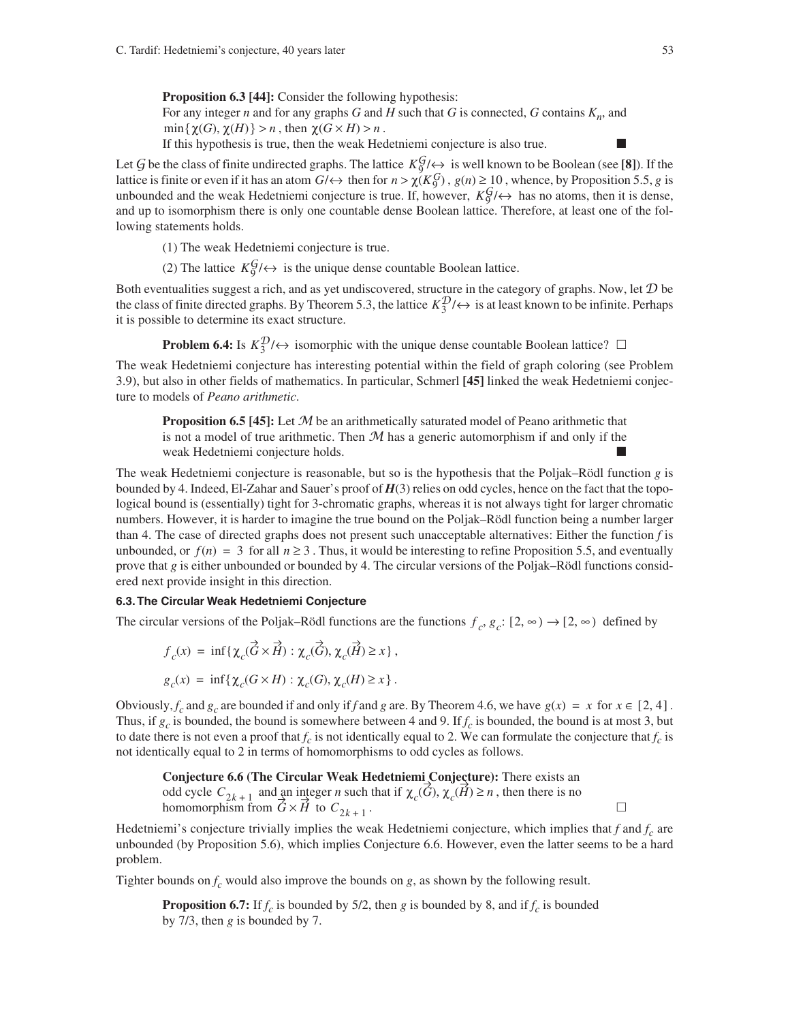**Proposition 6.3 [44]:** Consider the following hypothesis: For any integer *n* and for any graphs *G* and *H* such that *G* is connected, *G* contains  $K_n$ , and

 $min\{\chi(G), \chi(H)\} > n$ , then  $\chi(G \times H) > n$ .

If this hypothesis is true, then the weak Hedetniemi conjecture is also true.

Let G be the class of finite undirected graphs. The lattice  $K_9^{\{g\}}\leftrightarrow$  is well known to be Boolean (see [8]). If the lattice is finite or even if it has an atom  $G/\leftrightarrow$  then for  $n > \chi(K_9^G)$ ,  $g(n) \ge 10$ , whence, by Proposition 5.5, *g* is unbounded and the weak Hedetniemi conjecture is true. If, however,  $K_9^{\{g\}}\leftrightarrow$  has no atoms, then it is dense, and up to isomorphism there is only one countable dense Boolean lattice. Therefore, at least one of the following statements holds.

(1) The weak Hedetniemi conjecture is true.

(2) The lattice  $K_9^{\mathcal{G}}/\leftrightarrow$  is the unique dense countable Boolean lattice.

Both eventualities suggest a rich, and as yet undiscovered, structure in the category of graphs. Now, let  $D$  be the class of finite directed graphs. By Theorem 5.3, the lattice  $K_3^2/\leftrightarrow$  is at least known to be infinite. Perhaps it is possible to determine its exact structure.

**Problem 6.4:** Is  $K_3^{\mathcal{D}}/\leftrightarrow$  isomorphic with the unique dense countable Boolean lattice?  $\Box$ 

The weak Hedetniemi conjecture has interesting potential within the field of graph coloring (see Problem 3.9), but also in other fields of mathematics. In particular, Schmerl **[45]** linked the weak Hedetniemi conjecture to models of *Peano arithmetic*.

**Proposition 6.5 [45]:** Let M be an arithmetically saturated model of Peano arithmetic that is not a model of true arithmetic. Then  $M$  has a generic automorphism if and only if the weak Hedetniemi conjecture holds.

The weak Hedetniemi conjecture is reasonable, but so is the hypothesis that the Poljak–Rödl function *g* is bounded by 4. Indeed, El-Zahar and Sauer's proof of *H*(3) relies on odd cycles, hence on the fact that the topological bound is (essentially) tight for 3-chromatic graphs, whereas it is not always tight for larger chromatic numbers. However, it is harder to imagine the true bound on the Poljak–Rödl function being a number larger than 4. The case of directed graphs does not present such unacceptable alternatives: Either the function *f* is unbounded, or  $f(n) = 3$  for all  $n \ge 3$ . Thus, it would be interesting to refine Proposition 5.5, and eventually prove that *g* is either unbounded or bounded by 4. The circular versions of the Poljak–Rödl functions considered next provide insight in this direction.

### **6.3. The Circular Weak Hedetniemi Conjecture**

The circular versions of the Poljak–Rödl functions are the functions  $f_c$ ,  $g_c$ :  $[2, \infty) \rightarrow [2, \infty)$  defined by

$$
f_c(x) = \inf \{ \chi_c(\vec{G} \times \vec{H}) : \chi_c(\vec{G}), \chi_c(\vec{H}) \ge x \},
$$
  

$$
g_c(x) = \inf \{ \chi_c(G \times H) : \chi_c(G), \chi_c(H) \ge x \}.
$$

Obviously,  $f_c$  and  $g_c$  are bounded if and only if  $f$  and  $g$  are. By Theorem 4.6, we have  $g(x) = x$  for  $x \in [2, 4]$ . Thus, if  $g_c$  is bounded, the bound is somewhere between 4 and 9. If  $f_c$  is bounded, the bound is at most 3, but to date there is not even a proof that  $f_c$  is not identically equal to 2. We can formulate the conjecture that  $f_c$  is not identically equal to 2 in terms of homomorphisms to odd cycles as follows.

**Conjecture 6.6 (The Circular Weak Hedetniemi Conjecture):** There exists an odd cycle  $C_{2k+1}$  and an integer *n* such that if  $\chi_c(G), \chi_c(H) \ge n$ , then there is no homomorphism from  $\tilde{G} \times \tilde{H}$  to  $C_{2k+1}$ .

Hedetniemi's conjecture trivially implies the weak Hedetniemi conjecture, which implies that  $f$  and  $f_c$  are unbounded (by Proposition 5.6), which implies Conjecture 6.6. However, even the latter seems to be a hard problem.

Tighter bounds on  $f_c$  would also improve the bounds on  $g$ , as shown by the following result.

**Proposition 6.7:** If  $f_c$  is bounded by 5/2, then *g* is bounded by 8, and if  $f_c$  is bounded by 7/3, then *g* is bounded by 7.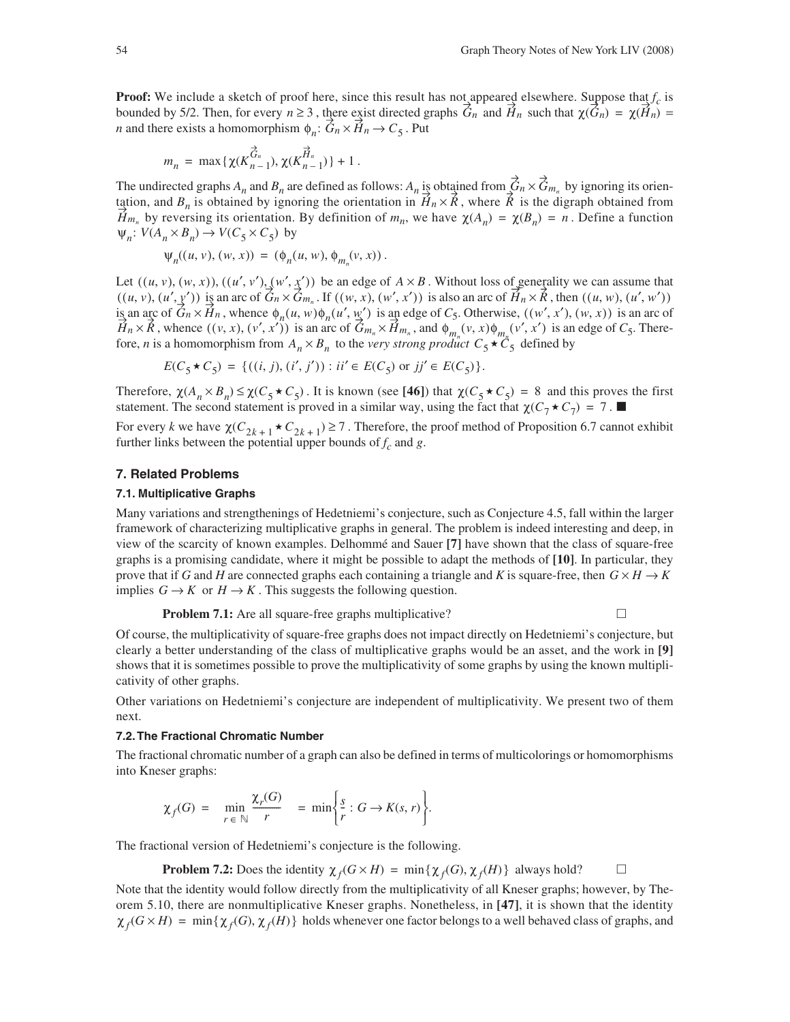**Proof:** We include a sketch of proof here, since this result has not appeared elsewhere. Suppose that  $f_c$  is bounded by 5/2. Then, for every  $n \ge 3$ , there exist directed graphs  $G_n$  and  $H_n$  such that  $\chi(G_n) = \chi(H_n) =$ *n* and there exists a homomorphism  $\phi_n: G_n \times H_n \to C_5$ . Put

$$
m_n\,=\,\max\,\{\chi(K_{n-1}^{\overrightarrow{G}_n}),\chi(K_{n-1}^{\overrightarrow{H}_n})\}+1\,.
$$

The undirected graphs  $A_n$  and  $B_n$  are defined as follows:  $A_n$  is obtained from  $G_n \times G_{m_n}$  by ignoring its orientation, and  $B_n$  is obtained by ignoring the orientation in  $H_n \times R$ , where  $\hat{R}$  is the digraph obtained from *H*<sub>m<sub>n</sub></sub> by reversing its orientation. By definition of  $m_n$ , we have  $\chi(A_n) = \chi(B_n) = n$ . Define a function  $\Psi_n: V(A_n \times B_n) \to V(C_5 \times C_5)$  by  $\acute{G}$ n $\times \acute{G}$ m<sub>n</sub>  $H_n \times \hat{R}$ , where  $\hat{R}$ 

$$
\psi_n((u, v), (w, x)) = (\phi_n(u, w), \phi_{m_n}(v, x)).
$$

Let  $((u, v), (w, x)), ((u', v'), (w', x'))$  be an edge of  $A \times B$ . Without loss of generality we can assume that is an arc of  $G_n \times G_{m_n}$ . If  $((w, x), (w', x'))$  is also an arc of  $H_n \times R$ , then is an arc of  $G_n \times H_n$ , whence  $\phi_n(u, w)\phi_n(u', w')$  is an edge of  $C_5$ . Otherwise,  $((w', x'), (w, x))$  is an arc of , whence  $((v, x), (v', x'))$  is an arc of  $G_{m_n} \times H_{m_n}$ , and  $\phi_{m_n}(v, x) \phi_{m_n}(v', x')$  is an edge of  $C_5$ . Therefore, *n* is a homomorphism from  $A_n \times B_n$  to the *very strong product*  $C_5 \star C_5$  defined by  $((u, v), (w, x)), ((u', v'), (w', x'))$  be an edge of  $A \times B$  $((u, v), (u', \underline{y}'))$  is an arc of  $\hat{G}_n \times \hat{G}_{m_n}$ . If  $((w, x), (w', x'))$  is also an arc of  $\hat{H}_n \times \hat{R}$ , then  $((u, w), (u', w'))$  $G_n \times H_n$ , whence  $\phi_n(u, w)\phi_n(u', \underline{w}')$  is an edge of  $C_5$ . Otherwise,  $((w', x'), (w, x))$  $H_n \times \hat{R}$ , whence  $((v, x), (v', x'))$  is an arc of  $G_{m_n} \times H_{m_n}$ , and  $\phi_{m_n}(v, x)\phi_{m_n}(v', x')$  $A_n \times B_n$  to the very strong product  $C_5 \star C_5$ 

$$
E(C_5 \star C_5) = \{((i, j), (i', j')) : ii' \in E(C_5) \text{ or } jj' \in E(C_5)\}.
$$

Therefore,  $\chi(A_n \times B_n) \leq \chi(C_5 \star C_5)$ . It is known (see [46]) that  $\chi(C_5 \star C_5) = 8$  and this proves the first statement. The second statement is proved in a similar way, using the fact that  $\chi(C_7 \star C_7) = 7$ .

For every *k* we have  $\chi(C_{2k+1} \star C_{2k+1}) \ge 7$ . Therefore, the proof method of Proposition 6.7 cannot exhibit further links between the potential upper bounds of  $f_c$  and  $g$ .

#### **7. Related Problems**

#### **7.1. Multiplicative Graphs**

Many variations and strengthenings of Hedetniemi's conjecture, such as Conjecture 4.5, fall within the larger framework of characterizing multiplicative graphs in general. The problem is indeed interesting and deep, in view of the scarcity of known examples. Delhommé and Sauer **[7]** have shown that the class of square-free graphs is a promising candidate, where it might be possible to adapt the methods of **[10]**. In particular, they prove that if *G* and *H* are connected graphs each containing a triangle and *K* is square-free, then  $G \times H \rightarrow K$ implies  $G \to K$  or  $H \to K$ . This suggests the following question.

**Problem 7.1:** Are all square-free graphs multiplicative?

Of course, the multiplicativity of square-free graphs does not impact directly on Hedetniemi's conjecture, but clearly a better understanding of the class of multiplicative graphs would be an asset, and the work in **[9]** shows that it is sometimes possible to prove the multiplicativity of some graphs by using the known multiplicativity of other graphs.

Other variations on Hedetniemi's conjecture are independent of multiplicativity. We present two of them next.

#### **7.2. The Fractional Chromatic Number**

The fractional chromatic number of a graph can also be defined in terms of multicolorings or homomorphisms into Kneser graphs:

$$
\chi_f(G) = \min_{r \in \mathbb{N}} \frac{\chi_r(G)}{r} = \min \left\{ \frac{s}{r} : G \to K(s, r) \right\}.
$$

The fractional version of Hedetniemi's conjecture is the following.

**Problem 7.2:** Does the identity  $\chi_f(G \times H) = \min{\{\chi_f(G), \chi_f(H)\}}$  always hold?

Note that the identity would follow directly from the multiplicativity of all Kneser graphs; however, by Theorem 5.10, there are nonmultiplicative Kneser graphs. Nonetheless, in **[47]**, it is shown that the identity  $\chi_f(G \times H) = \min\{\chi_f(G), \chi_f(H)\}$  holds whenever one factor belongs to a well behaved class of graphs, and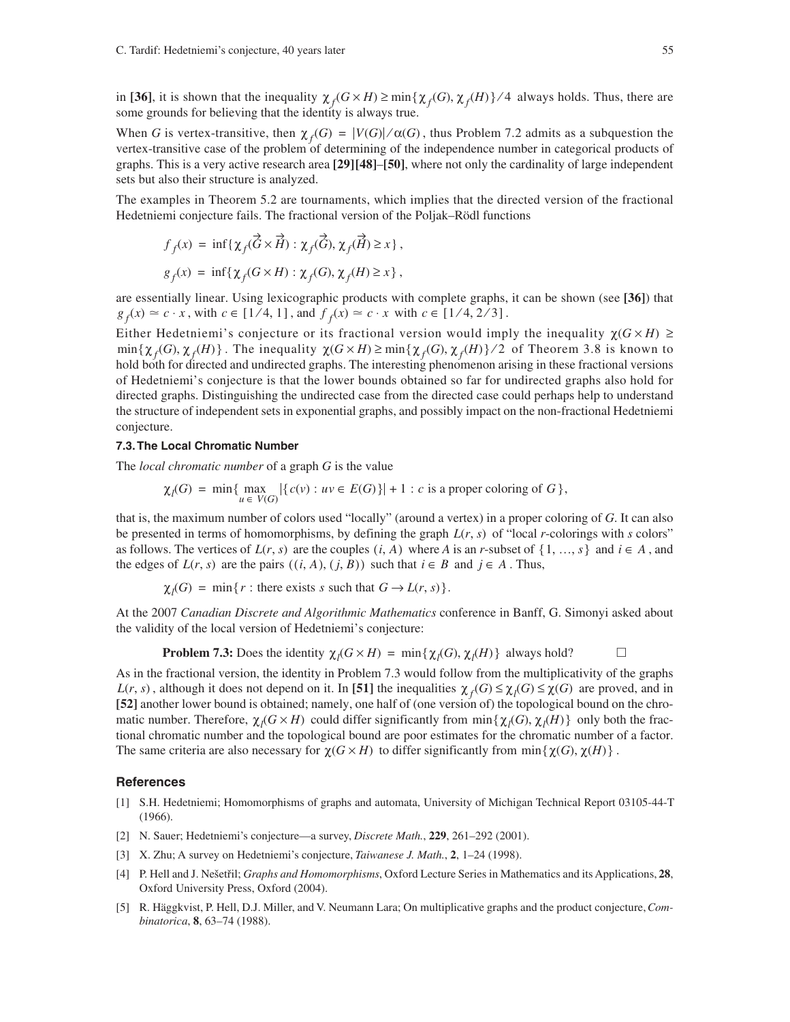in [36], it is shown that the inequality  $\chi_f(G \times H) \ge \min{\{\chi_f(G), \chi_f(H)\}}$  /4 always holds. Thus, there are some grounds for believing that the identity is always true.

When *G* is vertex-transitive, then  $\chi_f(G) = |V(G)| / \alpha(G)$ , thus Problem 7.2 admits as a subquestion the vertex-transitive case of the problem of determining of the independence number in categorical products of graphs. This is a very active research area **[29][48]**–**[50]**, where not only the cardinality of large independent sets but also their structure is analyzed.

The examples in Theorem 5.2 are tournaments, which implies that the directed version of the fractional Hedetniemi conjecture fails. The fractional version of the Poljak–Rödl functions

$$
f_f(x) = \inf \{ \chi_f(\vec{G} \times \vec{H}) : \chi_f(\vec{G}), \chi_f(\vec{H}) \ge x \},
$$
  

$$
g_f(x) = \inf \{ \chi_f(G \times H) : \chi_f(G), \chi_f(H) \ge x \},
$$

are essentially linear. Using lexicographic products with complete graphs, it can be shown (see **[36]**) that  $g_f(x) \approx c \cdot x$ , with  $c \in [1/4, 1]$ , and  $f_f(x) \approx c \cdot x$  with  $c \in [1/4, 2/3]$ .

Either Hedetniemi's conjecture or its fractional version would imply the inequality  $\chi(G \times H) \geq$  $\min{\{\chi_f(G), \chi_f(H)\}}$ . The inequality  $\chi(G \times H) \ge \min{\{\chi_f(G), \chi_f(H)\}}$ /2 of Theorem 3.8 is known to hold both for directed and undirected graphs. The interesting phenomenon arising in these fractional versions of Hedetniemi's conjecture is that the lower bounds obtained so far for undirected graphs also hold for directed graphs. Distinguishing the undirected case from the directed case could perhaps help to understand the structure of independent sets in exponential graphs, and possibly impact on the non-fractional Hedetniemi conjecture.

#### **7.3. The Local Chromatic Number**

The *local chromatic number* of a graph *G* is the value

$$
\chi_l(G) = \min \{ \max_{u \in V(G)} |\{c(v) : uv \in E(G)\}| + 1 : c \text{ is a proper coloring of } G \},
$$

that is, the maximum number of colors used "locally" (around a vertex) in a proper coloring of *G*. It can also be presented in terms of homomorphisms, by defining the graph  $L(r, s)$  of "local *r*-colorings with *s* colors" as follows. The vertices of  $L(r, s)$  are the couples  $(i, A)$  where A is an *r*-subset of  $\{1, ..., s\}$  and  $i \in A$ , and the edges of  $L(r, s)$  are the pairs  $((i, A), (j, B))$  such that  $i \in B$  and  $j \in A$ . Thus,

$$
\chi_l(G) = \min\{r : \text{there exists } s \text{ such that } G \to L(r, s)\}.
$$

At the 2007 *Canadian Discrete and Algorithmic Mathematics* conference in Banff, G. Simonyi asked about the validity of the local version of Hedetniemi's conjecture:

**Problem 7.3:** Does the identity  $\chi_l(G \times H) = \min{\{\chi_l(G), \chi_l(H)\}}$  always hold?

As in the fractional version, the identity in Problem 7.3 would follow from the multiplicativity of the graphs  $L(r, s)$ , although it does not depend on it. In [51] the inequalities  $\chi_f(G) \leq \chi_f(G) \leq \chi(G)$  are proved, and in **[52]** another lower bound is obtained; namely, one half of (one version of) the topological bound on the chromatic number. Therefore,  $\chi_l(G \times H)$  could differ significantly from  $\min{\{\chi_l(G), \chi_l(H)\}}$  only both the fractional chromatic number and the topological bound are poor estimates for the chromatic number of a factor. The same criteria are also necessary for  $\chi(G \times H)$  to differ significantly from  $\min{\chi(G), \chi(H)}$ .

#### **References**

- [1] S.H. Hedetniemi; Homomorphisms of graphs and automata, University of Michigan Technical Report 03105-44-T (1966).
- [2] N. Sauer; Hedetniemi's conjecture—a survey, *Discrete Math.*, **229**, 261–292 (2001).
- [3] X. Zhu; A survey on Hedetniemi's conjecture, *Taiwanese J. Math.*, **2**, 1–24 (1998).
- [4] P. Hell and J. Ne‰etfiil; *Graphs and Homomorphisms*, Oxford Lecture Series in Mathematics and its Applications, **28**, Oxford University Press, Oxford (2004).
- [5] R. Häggkvist, P. Hell, D.J. Miller, and V. Neumann Lara; On multiplicative graphs and the product conjecture, *Combinatorica*, **8**, 63–74 (1988).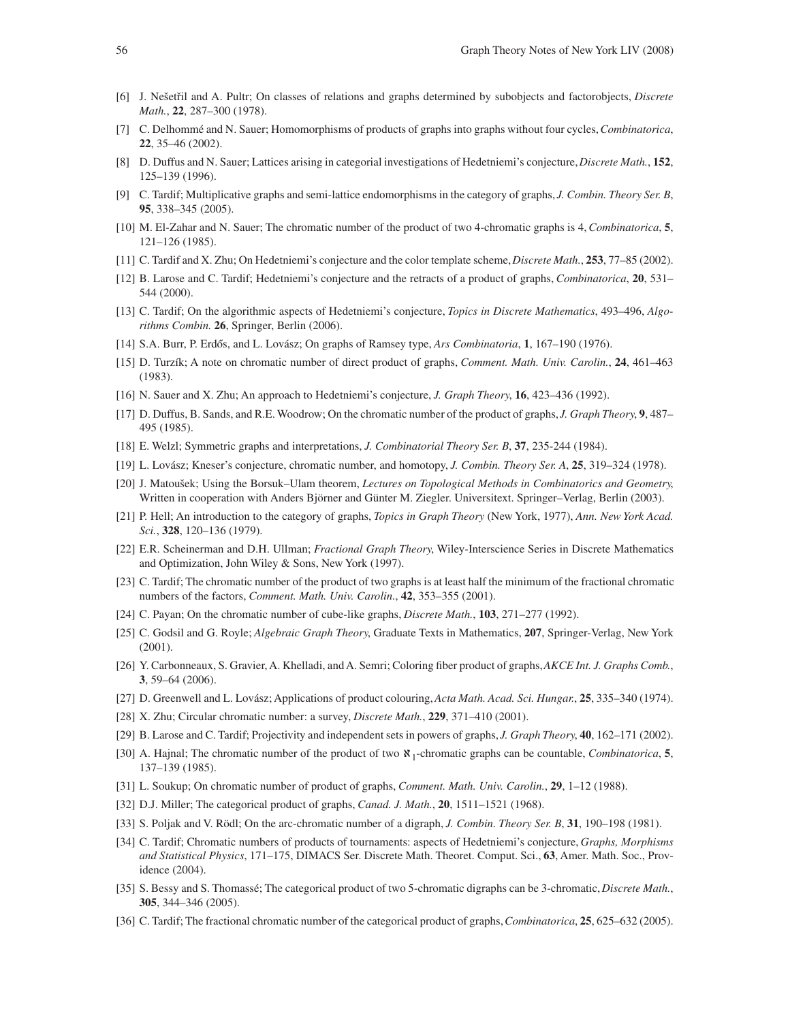- [6] J. Ne‰etfiil and A. Pultr; On classes of relations and graphs determined by subobjects and factorobjects, *Discrete Math.*, **22**, 287–300 (1978).
- [7] C. Delhommé and N. Sauer; Homomorphisms of products of graphs into graphs without four cycles, *Combinatorica*, **22**, 35–46 (2002).
- [8] D. Duffus and N. Sauer; Lattices arising in categorial investigations of Hedetniemi's conjecture, *Discrete Math.*, **152**, 125–139 (1996).
- [9] C. Tardif; Multiplicative graphs and semi-lattice endomorphisms in the category of graphs, *J. Combin. Theory Ser. B*, **95**, 338–345 (2005).
- [10] M. El-Zahar and N. Sauer; The chromatic number of the product of two 4-chromatic graphs is 4, *Combinatorica*, **5**, 121–126 (1985).
- [11] C. Tardif and X. Zhu; On Hedetniemi's conjecture and the color template scheme, *Discrete Math.*, **253**, 77–85 (2002).
- [12] B. Larose and C. Tardif; Hedetniemi's conjecture and the retracts of a product of graphs, *Combinatorica*, **20**, 531– 544 (2000).
- [13] C. Tardif; On the algorithmic aspects of Hedetniemi's conjecture, *Topics in Discrete Mathematics*, 493–496, *Algorithms Combin.* **26**, Springer, Berlin (2006).
- [14] S.A. Burr, P. Erdős, and L. Lovász; On graphs of Ramsey type, *Ars Combinatoria*, **1**, 167-190 (1976).
- [15] D. Turzík; A note on chromatic number of direct product of graphs, *Comment. Math. Univ. Carolin.*, **24**, 461–463 (1983).
- [16] N. Sauer and X. Zhu; An approach to Hedetniemi's conjecture, *J. Graph Theory*, **16**, 423–436 (1992).
- [17] D. Duffus, B. Sands, and R.E. Woodrow; On the chromatic number of the product of graphs, *J. Graph Theory*, **9**, 487– 495 (1985).
- [18] E. Welzl; Symmetric graphs and interpretations, *J. Combinatorial Theory Ser. B*, **37**, 235-244 (1984).
- [19] L. Lovász; Kneser's conjecture, chromatic number, and homotopy, *J. Combin. Theory Ser. A*, **25**, 319–324 (1978).
- [20] J. Matou‰ek; Using the Borsuk–Ulam theorem, *Lectures on Topological Methods in Combinatorics and Geometry*, Written in cooperation with Anders Björner and Günter M. Ziegler. Universitext. Springer–Verlag, Berlin (2003).
- [21] P. Hell; An introduction to the category of graphs, *Topics in Graph Theory* (New York, 1977), *Ann. New York Acad. Sci.*, **328**, 120–136 (1979).
- [22] E.R. Scheinerman and D.H. Ullman; *Fractional Graph Theory*, Wiley-Interscience Series in Discrete Mathematics and Optimization, John Wiley & Sons, New York (1997).
- [23] C. Tardif; The chromatic number of the product of two graphs is at least half the minimum of the fractional chromatic numbers of the factors, *Comment. Math. Univ. Carolin.*, **42**, 353–355 (2001).
- [24] C. Payan; On the chromatic number of cube-like graphs, *Discrete Math.*, **103**, 271–277 (1992).
- [25] C. Godsil and G. Royle; *Algebraic Graph Theory*, Graduate Texts in Mathematics, **207**, Springer-Verlag, New York (2001).
- [26] Y. Carbonneaux, S. Gravier, A. Khelladi, and A. Semri; Coloring fiber product of graphs, *AKCE Int. J. Graphs Comb.*, **3**, 59–64 (2006).
- [27] D. Greenwell and L. Lovász; Applications of product colouring, *Acta Math. Acad. Sci. Hungar.*, **25**, 335–340 (1974).
- [28] X. Zhu; Circular chromatic number: a survey, *Discrete Math.*, **229**, 371–410 (2001).
- [29] B. Larose and C. Tardif; Projectivity and independent sets in powers of graphs, *J. Graph Theory*, **40**, 162–171 (2002).
- [30] A. Hajnal; The chromatic number of the product of two ℵ1-chromatic graphs can be countable, *Combinatorica*, **5**, 137–139 (1985).
- [31] L. Soukup; On chromatic number of product of graphs, *Comment. Math. Univ. Carolin.*, **29**, 1–12 (1988).
- [32] D.J. Miller; The categorical product of graphs, *Canad. J. Math.*, **20**, 1511–1521 (1968).
- [33] S. Poljak and V. Rödl; On the arc-chromatic number of a digraph, *J. Combin. Theory Ser. B*, **31**, 190–198 (1981).
- [34] C. Tardif; Chromatic numbers of products of tournaments: aspects of Hedetniemi's conjecture, *Graphs, Morphisms and Statistical Physics*, 171–175, DIMACS Ser. Discrete Math. Theoret. Comput. Sci., **63**, Amer. Math. Soc., Providence (2004).
- [35] S. Bessy and S. Thomassé; The categorical product of two 5-chromatic digraphs can be 3-chromatic, *Discrete Math.*, **305**, 344–346 (2005).
- [36] C. Tardif; The fractional chromatic number of the categorical product of graphs, *Combinatorica*, **25**, 625–632 (2005).